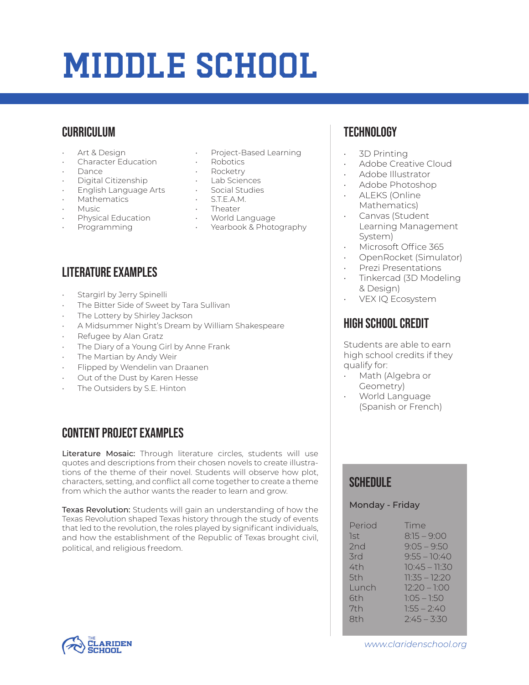# Middle School

#### **CURRICULUM**

- Art & Design
- Character Education
- Dance
- Digital Citizenship
- English Language Arts
- Mathematics
- Music
- Physical Education
- Programming
- Project-Based Learning
- Robotics
- Rocketry
- Lab Sciences
- Social Studies
- S.T.E.A.M.
- Theater
- World Language
- Yearbook & Photography

# Literature Examples

- Stargirl by Jerry Spinelli
- The Bitter Side of Sweet by Tara Sullivan
- The Lottery by Shirley Jackson
- A Midsummer Night's Dream by William Shakespeare
- Refugee by Alan Gratz
- The Diary of a Young Girl by Anne Frank
- The Martian by Andy Weir
- Flipped by Wendelin van Draanen
- Out of the Dust by Karen Hesse
- The Outsiders by S.E. Hinton

### Content Project Examples

Literature Mosaic: Through literature circles, students will use quotes and descriptions from their chosen novels to create illustrations of the theme of their novel. Students will observe how plot, characters, setting, and conflict all come together to create a theme from which the author wants the reader to learn and grow.

Texas Revolution: Students will gain an understanding of how the Texas Revolution shaped Texas history through the study of events that led to the revolution, the roles played by significant individuals, and how the establishment of the Republic of Texas brought civil, political, and religious freedom.

# **TECHNOLOGY**

- 3D Printing
- Adobe Creative Cloud
- Adobe Illustrator
- Adobe Photoshop
- ALEKS (Online Mathematics)
- Canvas (Student Learning Management System)
- Microsoft Office 365
- OpenRocket (Simulator)
- Prezi Presentations
- Tinkercad (3D Modeling & Design)
- VEX IQ Ecosystem

#### High School Credit

Students are able to earn high school credits if they qualify for:

- Math (Algebra or Geometry)
- World Language (Spanish or French)

#### **SCHEDULE**

#### Monday - Friday

| Period | Time            |
|--------|-----------------|
| 1st    | $8:15 - 9:00$   |
| 2nd    | $9:05 - 9:50$   |
| 3rd    | $9:55 - 10:40$  |
| 4th    | $10:45 - 11:30$ |
| 5th    | $11:35 - 12:20$ |
| Lunch  | $12:20 - 1:00$  |
| 6th    | $1:05 - 1:50$   |
| 7th    | $1:55 - 2:40$   |
| 8th    | $2:45 - 3:30$   |
|        |                 |



*www.claridenschool.org*